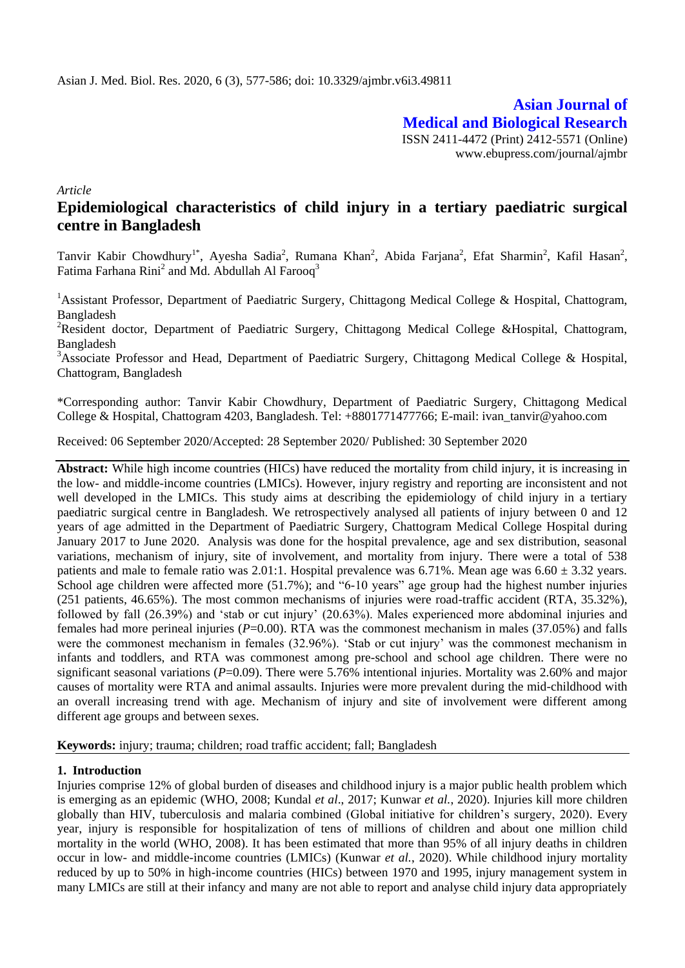**Asian Journal of Medical and Biological Research** ISSN 2411-4472 (Print) 2412-5571 (Online) www.ebupress.com/journal/ajmbr

*Article*

# **Epidemiological characteristics of child injury in a tertiary paediatric surgical centre in Bangladesh**

Tanvir Kabir Chowdhury<sup>1\*</sup>, Ayesha Sadia<sup>2</sup>, Rumana Khan<sup>2</sup>, Abida Farjana<sup>2</sup>, Efat Sharmin<sup>2</sup>, Kafil Hasan<sup>2</sup>, Fatima Farhana Rini<sup>2</sup> and Md. Abdullah Al Farooq<sup>3</sup>

<sup>1</sup>Assistant Professor, Department of Paediatric Surgery, Chittagong Medical College & Hospital, Chattogram, Bangladesh

<sup>2</sup>Resident doctor, Department of Paediatric Surgery, Chittagong Medical College &Hospital, Chattogram, Bangladesh

<sup>3</sup>Associate Professor and Head, Department of Paediatric Surgery, Chittagong Medical College & Hospital, Chattogram, Bangladesh

\*Corresponding author: Tanvir Kabir Chowdhury, Department of Paediatric Surgery, Chittagong Medical College & Hospital, Chattogram 4203, Bangladesh. Tel: +8801771477766; E-mail: ivan\_tanvir@yahoo.com

Received: 06 September 2020/Accepted: 28 September 2020/ Published: 30 September 2020

**Abstract:** While high income countries (HICs) have reduced the mortality from child injury, it is increasing in the low- and middle-income countries (LMICs). However, injury registry and reporting are inconsistent and not well developed in the LMICs. This study aims at describing the epidemiology of child injury in a tertiary paediatric surgical centre in Bangladesh. We retrospectively analysed all patients of injury between 0 and 12 years of age admitted in the Department of Paediatric Surgery, Chattogram Medical College Hospital during January 2017 to June 2020. Analysis was done for the hospital prevalence, age and sex distribution, seasonal variations, mechanism of injury, site of involvement, and mortality from injury. There were a total of 538 patients and male to female ratio was 2.01:1. Hospital prevalence was  $6.71\%$ . Mean age was  $6.60 \pm 3.32$  years. School age children were affected more (51.7%); and "6-10 years" age group had the highest number injuries (251 patients, 46.65%). The most common mechanisms of injuries were road-traffic accident (RTA, 35.32%), followed by fall (26.39%) and "stab or cut injury" (20.63%). Males experienced more abdominal injuries and females had more perineal injuries ( $P=0.00$ ). RTA was the commonest mechanism in males (37.05%) and falls were the commonest mechanism in females (32.96%). 'Stab or cut injury' was the commonest mechanism in infants and toddlers, and RTA was commonest among pre-school and school age children. There were no significant seasonal variations (*P*=0.09). There were 5.76% intentional injuries. Mortality was 2.60% and major causes of mortality were RTA and animal assaults. Injuries were more prevalent during the mid-childhood with an overall increasing trend with age. Mechanism of injury and site of involvement were different among different age groups and between sexes.

**Keywords:** injury; trauma; children; road traffic accident; fall; Bangladesh

# **1. Introduction**

Injuries comprise 12% of global burden of diseases and childhood injury is a major public health problem which is emerging as an epidemic (WHO, 2008; Kundal *et al*., 2017; Kunwar *et al.*, 2020). Injuries kill more children globally than HIV, tuberculosis and malaria combined (Global initiative for children"s surgery, 2020). Every year, injury is responsible for hospitalization of tens of millions of children and about one million child mortality in the world (WHO, 2008). It has been estimated that more than 95% of all injury deaths in children occur in low- and middle-income countries (LMICs) (Kunwar *et al.*, 2020). While childhood injury mortality reduced by up to 50% in high-income countries (HICs) between 1970 and 1995, injury management system in many LMICs are still at their infancy and many are not able to report and analyse child injury data appropriately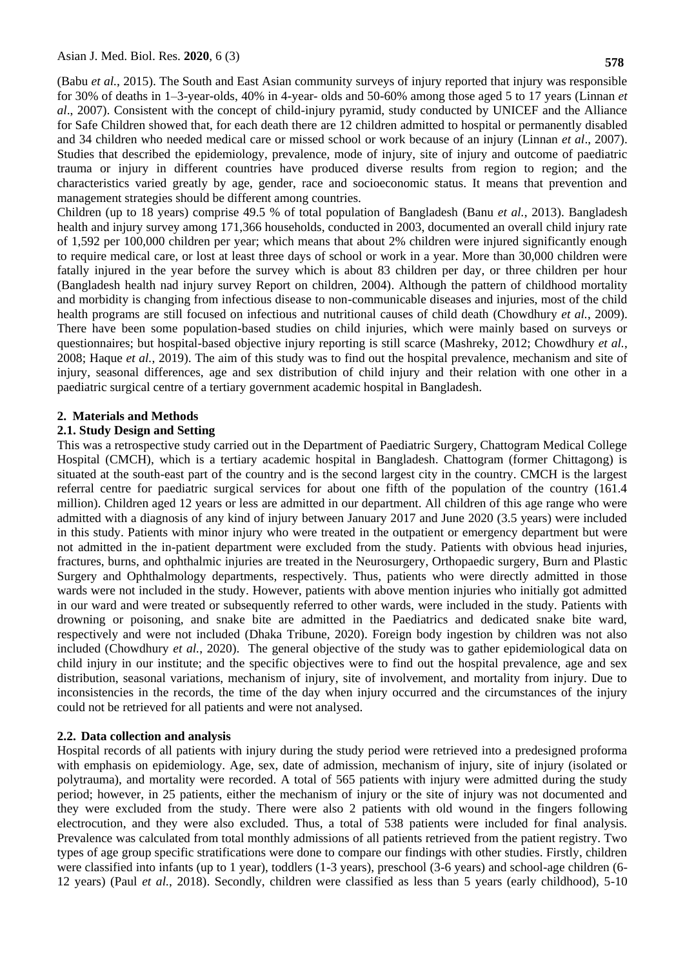(Babu *et al.*, 2015). The South and East Asian community surveys of injury reported that injury was responsible for 30% of deaths in 1–3-year-olds, 40% in 4-year- olds and 50-60% among those aged 5 to 17 years (Linnan *et al*., 2007). Consistent with the concept of child-injury pyramid, study conducted by UNICEF and the Alliance for Safe Children showed that, for each death there are 12 children admitted to hospital or permanently disabled and 34 children who needed medical care or missed school or work because of an injury (Linnan *et al*., 2007). Studies that described the epidemiology, prevalence, mode of injury, site of injury and outcome of paediatric trauma or injury in different countries have produced diverse results from region to region; and the characteristics varied greatly by age, gender, race and socioeconomic status. It means that prevention and management strategies should be different among countries.

Children (up to 18 years) comprise 49.5 % of total population of Bangladesh (Banu *et al.*, 2013). Bangladesh health and injury survey among 171,366 households, conducted in 2003, documented an overall child injury rate of 1,592 per 100,000 children per year; which means that about 2% children were injured significantly enough to require medical care, or lost at least three days of school or work in a year. More than 30,000 children were fatally injured in the year before the survey which is about 83 children per day, or three children per hour (Bangladesh health nad injury survey Report on children, 2004). Although the pattern of childhood mortality and morbidity is changing from infectious disease to non-communicable diseases and injuries, most of the child health programs are still focused on infectious and nutritional causes of child death (Chowdhury *et al.*, 2009). There have been some population-based studies on child injuries, which were mainly based on surveys or questionnaires; but hospital-based objective injury reporting is still scarce (Mashreky, 2012; Chowdhury *et al.*, 2008; Haque *et al.*, 2019). The aim of this study was to find out the hospital prevalence, mechanism and site of injury, seasonal differences, age and sex distribution of child injury and their relation with one other in a paediatric surgical centre of a tertiary government academic hospital in Bangladesh.

#### **2. Materials and Methods**

#### **2.1. Study Design and Setting**

This was a retrospective study carried out in the Department of Paediatric Surgery, Chattogram Medical College Hospital (CMCH), which is a tertiary academic hospital in Bangladesh. Chattogram (former Chittagong) is situated at the south-east part of the country and is the second largest city in the country. CMCH is the largest referral centre for paediatric surgical services for about one fifth of the population of the country (161.4 million). Children aged 12 years or less are admitted in our department. All children of this age range who were admitted with a diagnosis of any kind of injury between January 2017 and June 2020 (3.5 years) were included in this study. Patients with minor injury who were treated in the outpatient or emergency department but were not admitted in the in-patient department were excluded from the study. Patients with obvious head injuries, fractures, burns, and ophthalmic injuries are treated in the Neurosurgery, Orthopaedic surgery, Burn and Plastic Surgery and Ophthalmology departments, respectively. Thus, patients who were directly admitted in those wards were not included in the study. However, patients with above mention injuries who initially got admitted in our ward and were treated or subsequently referred to other wards, were included in the study. Patients with drowning or poisoning, and snake bite are admitted in the Paediatrics and dedicated snake bite ward, respectively and were not included (Dhaka Tribune, 2020). Foreign body ingestion by children was not also included (Chowdhury *et al.*, 2020). The general objective of the study was to gather epidemiological data on child injury in our institute; and the specific objectives were to find out the hospital prevalence, age and sex distribution, seasonal variations, mechanism of injury, site of involvement, and mortality from injury. Due to inconsistencies in the records, the time of the day when injury occurred and the circumstances of the injury could not be retrieved for all patients and were not analysed.

# **2.2. Data collection and analysis**

Hospital records of all patients with injury during the study period were retrieved into a predesigned proforma with emphasis on epidemiology. Age, sex, date of admission, mechanism of injury, site of injury (isolated or polytrauma), and mortality were recorded. A total of 565 patients with injury were admitted during the study period; however, in 25 patients, either the mechanism of injury or the site of injury was not documented and they were excluded from the study. There were also 2 patients with old wound in the fingers following electrocution, and they were also excluded. Thus, a total of 538 patients were included for final analysis. Prevalence was calculated from total monthly admissions of all patients retrieved from the patient registry. Two types of age group specific stratifications were done to compare our findings with other studies. Firstly, children were classified into infants (up to 1 year), toddlers (1-3 years), preschool (3-6 years) and school-age children (6- 12 years) (Paul *et al.*, 2018). Secondly, children were classified as less than 5 years (early childhood), 5-10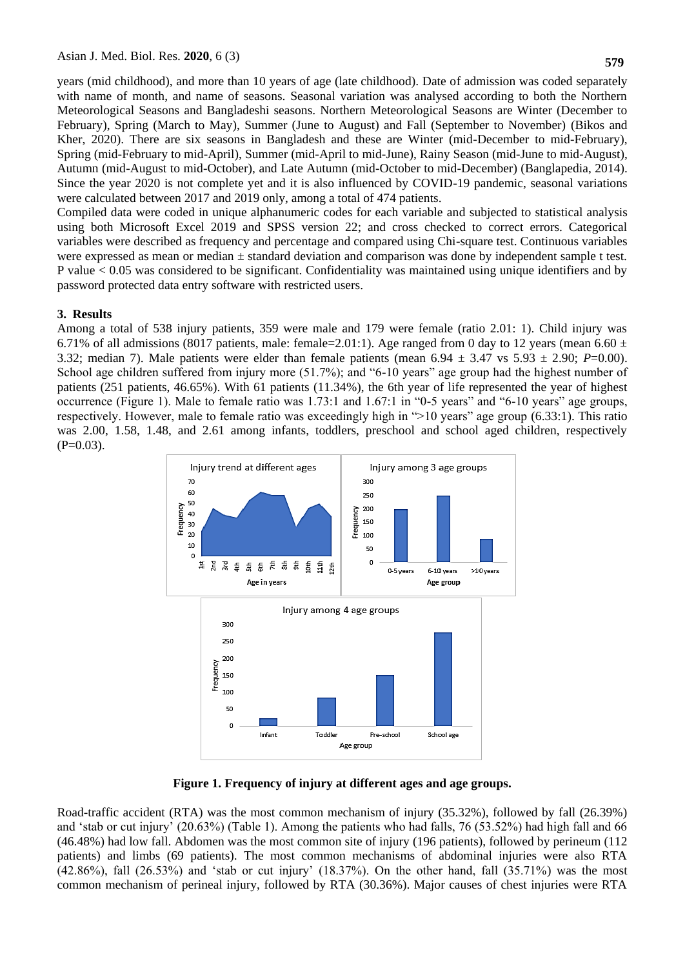years (mid childhood), and more than 10 years of age (late childhood). Date of admission was coded separately with name of month, and name of seasons. Seasonal variation was analysed according to both the Northern Meteorological Seasons and Bangladeshi seasons. Northern Meteorological Seasons are Winter (December to February), Spring (March to May), Summer (June to August) and Fall (September to November) (Bikos and Kher, 2020). There are six seasons in Bangladesh and these are Winter (mid-December to mid-February), Spring (mid-February to mid-April), Summer (mid-April to mid-June), Rainy Season (mid-June to mid-August), Autumn (mid-August to mid-October), and Late Autumn (mid-October to mid-December) (Banglapedia, 2014). Since the year 2020 is not complete yet and it is also influenced by COVID-19 pandemic, seasonal variations were calculated between 2017 and 2019 only, among a total of 474 patients.

Compiled data were coded in unique alphanumeric codes for each variable and subjected to statistical analysis using both Microsoft Excel 2019 and SPSS version 22; and cross checked to correct errors. Categorical variables were described as frequency and percentage and compared using Chi-square test. Continuous variables were expressed as mean or median  $\pm$  standard deviation and comparison was done by independent sample t test. P value < 0.05 was considered to be significant. Confidentiality was maintained using unique identifiers and by password protected data entry software with restricted users.

# **3. Results**

Among a total of 538 injury patients, 359 were male and 179 were female (ratio 2.01: 1). Child injury was 6.71% of all admissions (8017 patients, male: female=2.01:1). Age ranged from 0 day to 12 years (mean 6.60  $\pm$ 3.32; median 7). Male patients were elder than female patients (mean  $6.94 \pm 3.47$  vs  $5.93 \pm 2.90$ ; *P*=0.00). School age children suffered from injury more (51.7%); and "6-10 years" age group had the highest number of patients (251 patients, 46.65%). With 61 patients (11.34%), the 6th year of life represented the year of highest occurrence (Figure 1). Male to female ratio was 1.73:1 and 1.67:1 in "0-5 years" and "6-10 years" age groups, respectively. However, male to female ratio was exceedingly high in ">10 years" age group (6.33:1). This ratio was 2.00, 1.58, 1.48, and 2.61 among infants, toddlers, preschool and school aged children, respectively  $(P=0.03)$ .



**Figure 1. Frequency of injury at different ages and age groups.**

Road-traffic accident (RTA) was the most common mechanism of injury (35.32%), followed by fall (26.39%) and "stab or cut injury" (20.63%) (Table 1). Among the patients who had falls, 76 (53.52%) had high fall and 66 (46.48%) had low fall. Abdomen was the most common site of injury (196 patients), followed by perineum (112 patients) and limbs (69 patients). The most common mechanisms of abdominal injuries were also RTA  $(42.86\%)$ , fall  $(26.53\%)$  and 'stab or cut injury'  $(18.37\%)$ . On the other hand, fall  $(35.71\%)$  was the most common mechanism of perineal injury, followed by RTA (30.36%). Major causes of chest injuries were RTA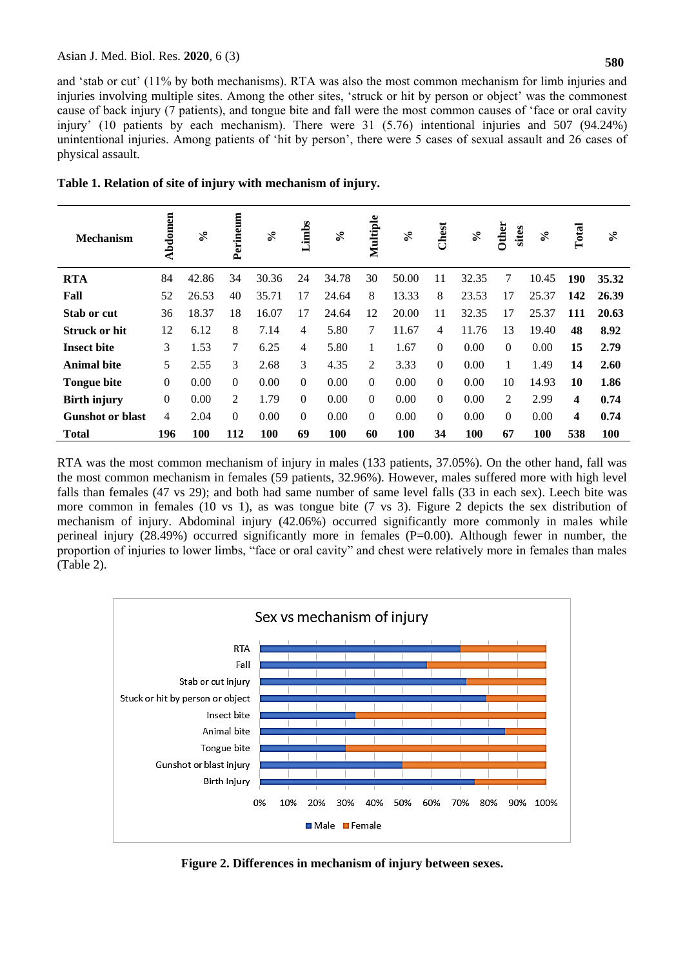and "stab or cut" (11% by both mechanisms). RTA was also the most common mechanism for limb injuries and injuries involving multiple sites. Among the other sites, "struck or hit by person or object" was the commonest cause of back injury (7 patients), and tongue bite and fall were the most common causes of "face or oral cavity injury" (10 patients by each mechanism). There were 31 (5.76) intentional injuries and 507 (94.24%) unintentional injuries. Among patients of 'hit by person', there were 5 cases of sexual assault and 26 cases of physical assault.

| <b>Mechanism</b>        | Abdomen        | $\mathcal{S}_{\bullet}$ | Perineum | $\mathcal{S}_{\bullet}$ | Limbs            | $\aleph$ | Multiple | $\%$  | Chest          | $\mathcal{S}_{\bullet}$ | <b>Other</b><br>sites | $\mathcal{S}_{\bullet}$ | Total | $\mathcal{E}$ |
|-------------------------|----------------|-------------------------|----------|-------------------------|------------------|----------|----------|-------|----------------|-------------------------|-----------------------|-------------------------|-------|---------------|
| <b>RTA</b>              | 84             | 42.86                   | 34       | 30.36                   | 24               | 34.78    | 30       | 50.00 | 11             | 32.35                   | 7                     | 10.45                   | 190   | 35.32         |
| Fall                    | 52             | 26.53                   | 40       | 35.71                   | 17               | 24.64    | 8        | 13.33 | 8              | 23.53                   | 17                    | 25.37                   | 142   | 26.39         |
| Stab or cut             | 36             | 18.37                   | 18       | 16.07                   | 17               | 24.64    | 12       | 20.00 | 11             | 32.35                   | 17                    | 25.37                   | 111   | 20.63         |
| <b>Struck or hit</b>    | 12             | 6.12                    | 8        | 7.14                    | 4                | 5.80     | 7        | 11.67 | $\overline{4}$ | 11.76                   | 13                    | 19.40                   | 48    | 8.92          |
| <b>Insect bite</b>      | 3              | 1.53                    | 7        | 6.25                    | 4                | 5.80     | 1        | 1.67  | $\Omega$       | 0.00                    | $\Omega$              | 0.00                    | 15    | 2.79          |
| <b>Animal bite</b>      | 5              | 2.55                    | 3        | 2.68                    | 3                | 4.35     | 2        | 3.33  | $\Omega$       | 0.00                    |                       | 1.49                    | 14    | 2.60          |
| <b>Tongue bite</b>      | $\overline{0}$ | 0.00                    | $\Omega$ | 0.00                    | $\Omega$         | 0.00     | $\theta$ | 0.00  | $\Omega$       | 0.00                    | 10                    | 14.93                   | 10    | 1.86          |
| <b>Birth injury</b>     | $\overline{0}$ | 0.00                    | 2        | 1.79                    | $\boldsymbol{0}$ | 0.00     | $\Omega$ | 0.00  | $\Omega$       | 0.00                    | 2                     | 2.99                    | 4     | 0.74          |
| <b>Gunshot or blast</b> | $\overline{4}$ | 2.04                    | $\Omega$ | 0.00                    | $\Omega$         | 0.00     | $\Omega$ | 0.00  | $\Omega$       | 0.00                    | $\Omega$              | 0.00                    | 4     | 0.74          |
| <b>Total</b>            | 196            | <b>100</b>              | 112      | 100                     | 69               | 100      | 60       | 100   | 34             | 100                     | 67                    | 100                     | 538   | 100           |

**Table 1. Relation of site of injury with mechanism of injury.** 

RTA was the most common mechanism of injury in males (133 patients, 37.05%). On the other hand, fall was the most common mechanism in females (59 patients, 32.96%). However, males suffered more with high level falls than females (47 vs 29); and both had same number of same level falls (33 in each sex). Leech bite was more common in females (10 vs 1), as was tongue bite (7 vs 3). Figure 2 depicts the sex distribution of mechanism of injury. Abdominal injury (42.06%) occurred significantly more commonly in males while perineal injury (28.49%) occurred significantly more in females (P=0.00). Although fewer in number, the proportion of injuries to lower limbs, "face or oral cavity" and chest were relatively more in females than males (Table 2).



**Figure 2. Differences in mechanism of injury between sexes.**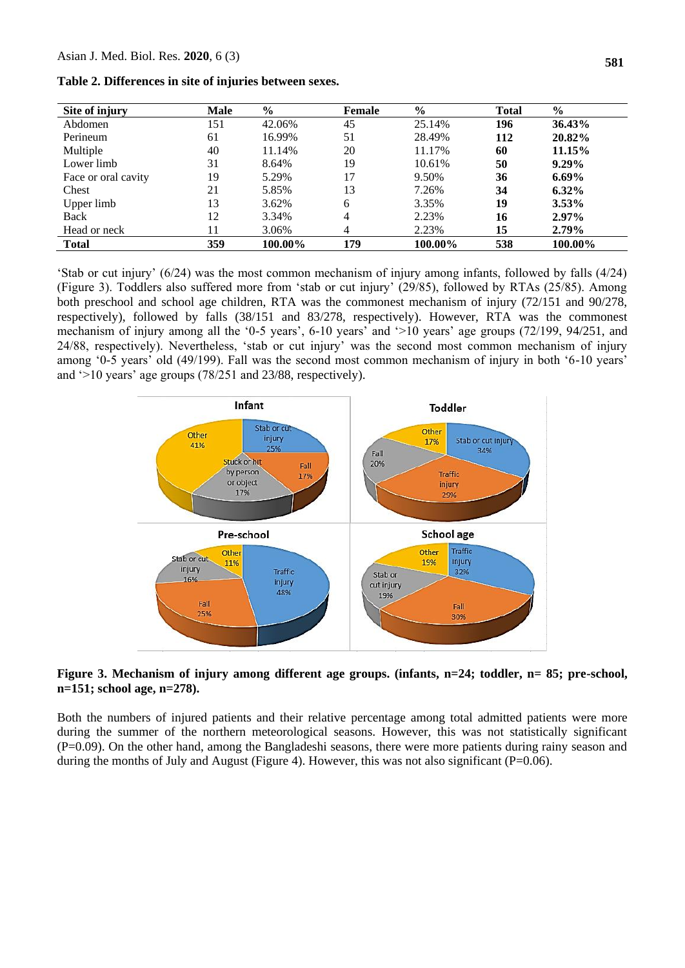**Table 2. Differences in site of injuries between sexes.**

| Site of injury      | <b>Male</b> | $\%$    | Female | $\frac{6}{10}$ | <b>Total</b> | $\%$     |
|---------------------|-------------|---------|--------|----------------|--------------|----------|
| Abdomen             | 151         | 42.06%  | 45     | 25.14%         | 196          | 36.43%   |
| Perineum            | 61          | 16.99%  | 51     | 28.49%         | 112          | 20.82%   |
| Multiple            | 40          | 11.14%  | 20     | 11.17%         | 60           | 11.15%   |
| Lower limb          | 31          | 8.64%   | 19     | 10.61%         | 50           | $9.29\%$ |
| Face or oral cavity | 19          | 5.29%   | 17     | 9.50%          | 36           | $6.69\%$ |
| Chest               | 21          | 5.85%   | 13     | 7.26%          | 34           | $6.32\%$ |
| Upper limb          | 13          | 3.62%   | 6      | 3.35%          | 19           | $3.53\%$ |
| Back                | 12          | 3.34%   | 4      | 2.23%          | 16           | $2.97\%$ |
| Head or neck        | 11          | 3.06%   | 4      | 2.23%          | 15           | $2.79\%$ |
| <b>Total</b>        | 359         | 100.00% | 179    | 100.00%        | 538          | 100.00%  |

'Stab or cut injury'  $(6/24)$  was the most common mechanism of injury among infants, followed by falls  $(4/24)$ (Figure 3). Toddlers also suffered more from "stab or cut injury" (29/85), followed by RTAs (25/85). Among both preschool and school age children, RTA was the commonest mechanism of injury (72/151 and 90/278, respectively), followed by falls (38/151 and 83/278, respectively). However, RTA was the commonest mechanism of injury among all the '0-5 years', 6-10 years' and '>10 years' age groups (72/199, 94/251, and 24/88, respectively). Nevertheless, "stab or cut injury" was the second most common mechanism of injury among "0-5 years" old (49/199). Fall was the second most common mechanism of injury in both "6-10 years" and '>10 years' age groups (78/251 and 23/88, respectively).



**Figure 3. Mechanism of injury among different age groups. (infants, n=24; toddler, n= 85; pre-school, n=151; school age, n=278).**

Both the numbers of injured patients and their relative percentage among total admitted patients were more during the summer of the northern meteorological seasons. However, this was not statistically significant (P=0.09). On the other hand, among the Bangladeshi seasons, there were more patients during rainy season and during the months of July and August (Figure 4). However, this was not also significant ( $P=0.06$ ).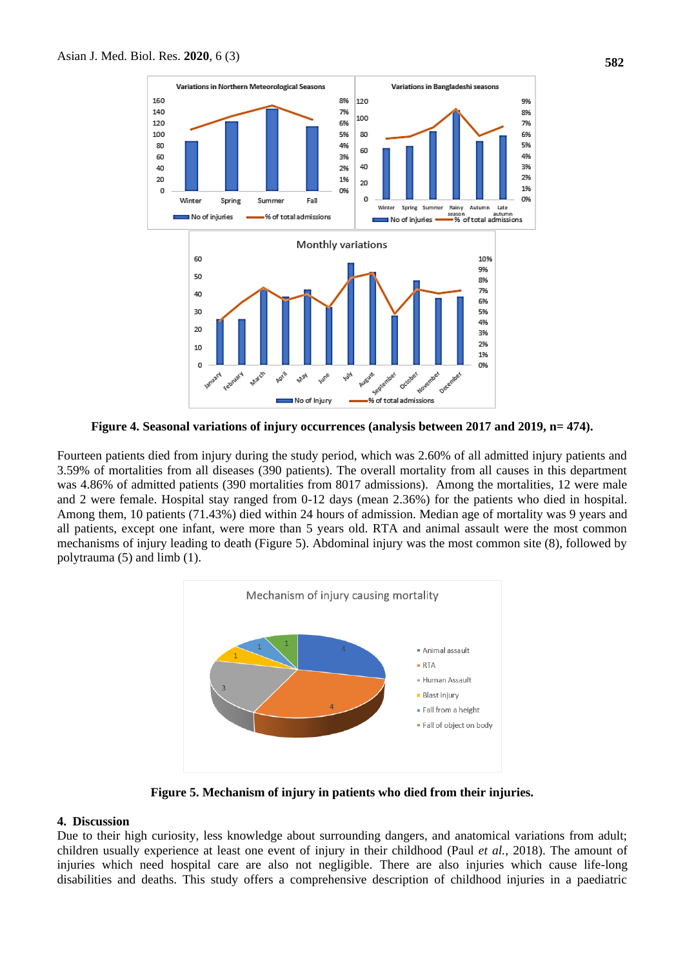

**Figure 4. Seasonal variations of injury occurrences (analysis between 2017 and 2019, n= 474).**

Fourteen patients died from injury during the study period, which was 2.60% of all admitted injury patients and 3.59% of mortalities from all diseases (390 patients). The overall mortality from all causes in this department was 4.86% of admitted patients (390 mortalities from 8017 admissions). Among the mortalities, 12 were male and 2 were female. Hospital stay ranged from 0-12 days (mean 2.36%) for the patients who died in hospital. Among them, 10 patients (71.43%) died within 24 hours of admission. Median age of mortality was 9 years and all patients, except one infant, were more than 5 years old. RTA and animal assault were the most common mechanisms of injury leading to death (Figure 5). Abdominal injury was the most common site (8), followed by polytrauma (5) and limb (1).



**Figure 5. Mechanism of injury in patients who died from their injuries.**

#### **4. Discussion**

Due to their high curiosity, less knowledge about surrounding dangers, and anatomical variations from adult; children usually experience at least one event of injury in their childhood (Paul *et al.*, 2018). The amount of injuries which need hospital care are also not negligible. There are also injuries which cause life-long disabilities and deaths. This study offers a comprehensive description of childhood injuries in a paediatric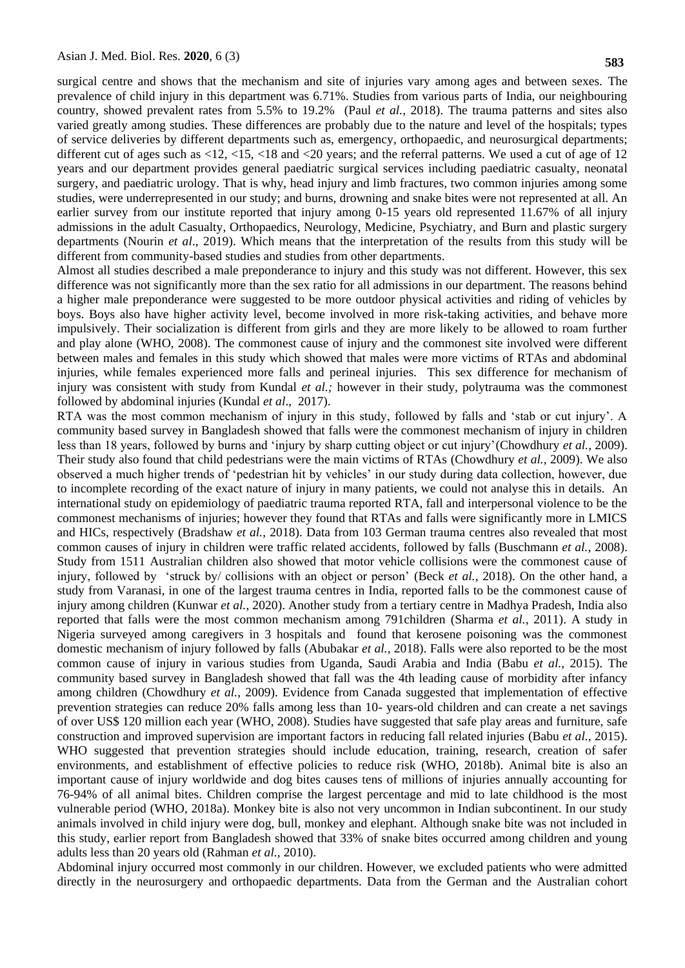surgical centre and shows that the mechanism and site of injuries vary among ages and between sexes. The prevalence of child injury in this department was 6.71%. Studies from various parts of India, our neighbouring country, showed prevalent rates from 5.5% to 19.2% (Paul *et al.*, 2018). The trauma patterns and sites also varied greatly among studies. These differences are probably due to the nature and level of the hospitals; types of service deliveries by different departments such as, emergency, orthopaedic, and neurosurgical departments; different cut of ages such as <12, <15, <18 and <20 years; and the referral patterns. We used a cut of age of 12 years and our department provides general paediatric surgical services including paediatric casualty, neonatal surgery, and paediatric urology. That is why, head injury and limb fractures, two common injuries among some studies, were underrepresented in our study; and burns, drowning and snake bites were not represented at all. An earlier survey from our institute reported that injury among 0-15 years old represented 11.67% of all injury admissions in the adult Casualty, Orthopaedics, Neurology, Medicine, Psychiatry, and Burn and plastic surgery departments (Nourin *et al*., 2019). Which means that the interpretation of the results from this study will be different from community-based studies and studies from other departments.

Almost all studies described a male preponderance to injury and this study was not different. However, this sex difference was not significantly more than the sex ratio for all admissions in our department. The reasons behind a higher male preponderance were suggested to be more outdoor physical activities and riding of vehicles by boys. Boys also have higher activity level, become involved in more risk-taking activities, and behave more impulsively. Their socialization is different from girls and they are more likely to be allowed to roam further and play alone (WHO, 2008). The commonest cause of injury and the commonest site involved were different between males and females in this study which showed that males were more victims of RTAs and abdominal injuries, while females experienced more falls and perineal injuries. This sex difference for mechanism of injury was consistent with study from Kundal *et al.;* however in their study, polytrauma was the commonest followed by abdominal injuries (Kundal *et al*., 2017).

RTA was the most common mechanism of injury in this study, followed by falls and "stab or cut injury". A community based survey in Bangladesh showed that falls were the commonest mechanism of injury in children less than 18 years, followed by burns and "injury by sharp cutting object or cut injury"(Chowdhury *et al.*, 2009). Their study also found that child pedestrians were the main victims of RTAs (Chowdhury *et al.*, 2009). We also observed a much higher trends of "pedestrian hit by vehicles" in our study during data collection, however, due to incomplete recording of the exact nature of injury in many patients, we could not analyse this in details. An international study on epidemiology of paediatric trauma reported RTA, fall and interpersonal violence to be the commonest mechanisms of injuries; however they found that RTAs and falls were significantly more in LMICS and HICs, respectively (Bradshaw *et al.*, 2018). Data from 103 German trauma centres also revealed that most common causes of injury in children were traffic related accidents, followed by falls (Buschmann *et al.*, 2008). Study from 1511 Australian children also showed that motor vehicle collisions were the commonest cause of injury, followed by "struck by/ collisions with an object or person" (Beck *et al.*, 2018). On the other hand, a study from Varanasi, in one of the largest trauma centres in India, reported falls to be the commonest cause of injury among children (Kunwar *et al.*, 2020). Another study from a tertiary centre in Madhya Pradesh, India also reported that falls were the most common mechanism among 791children (Sharma *et al.*, 2011). A study in Nigeria surveyed among caregivers in 3 hospitals and found that kerosene poisoning was the commonest domestic mechanism of injury followed by falls (Abubakar *et al.*, 2018). Falls were also reported to be the most common cause of injury in various studies from Uganda, Saudi Arabia and India (Babu *et al.*, 2015). The community based survey in Bangladesh showed that fall was the 4th leading cause of morbidity after infancy among children (Chowdhury *et al.*, 2009). Evidence from Canada suggested that implementation of effective prevention strategies can reduce 20% falls among less than 10- years-old children and can create a net savings of over US\$ 120 million each year (WHO, 2008). Studies have suggested that safe play areas and furniture, safe construction and improved supervision are important factors in reducing fall related injuries (Babu *et al.*, 2015). WHO suggested that prevention strategies should include education, training, research, creation of safer environments, and establishment of effective policies to reduce risk (WHO, 2018b). Animal bite is also an important cause of injury worldwide and dog bites causes tens of millions of injuries annually accounting for 76-94% of all animal bites. Children comprise the largest percentage and mid to late childhood is the most vulnerable period (WHO, 2018a). Monkey bite is also not very uncommon in Indian subcontinent. In our study animals involved in child injury were dog, bull, monkey and elephant. Although snake bite was not included in this study, earlier report from Bangladesh showed that 33% of snake bites occurred among children and young adults less than 20 years old (Rahman *et al.*, 2010).

Abdominal injury occurred most commonly in our children. However, we excluded patients who were admitted directly in the neurosurgery and orthopaedic departments. Data from the German and the Australian cohort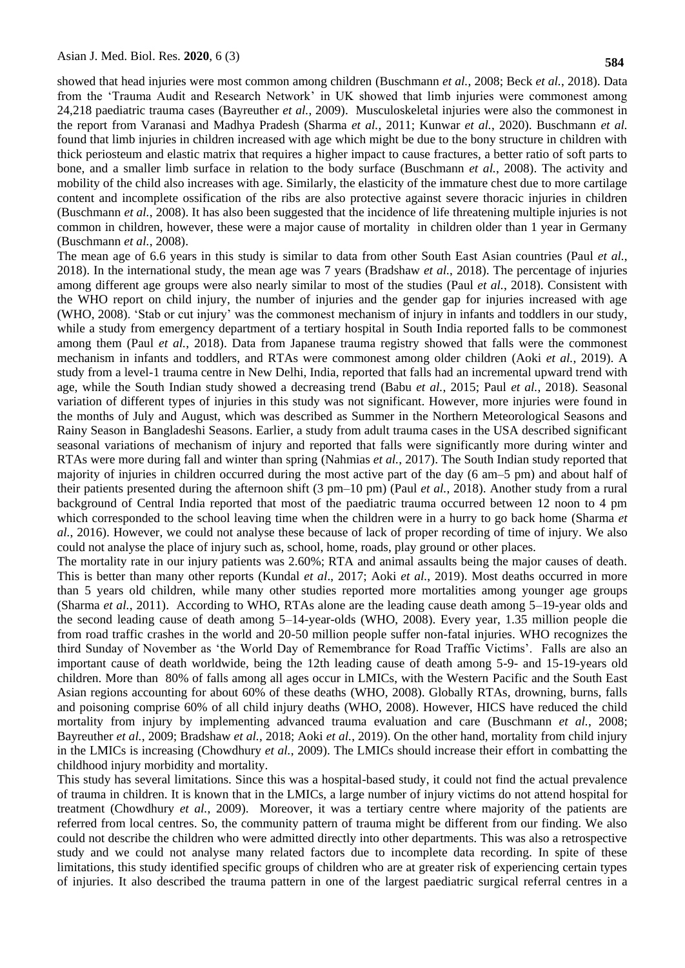showed that head injuries were most common among children (Buschmann *et al.*, 2008; Beck *et al.*, 2018). Data from the "Trauma Audit and Research Network" in UK showed that limb injuries were commonest among 24,218 paediatric trauma cases (Bayreuther *et al.*, 2009). Musculoskeletal injuries were also the commonest in the report from Varanasi and Madhya Pradesh (Sharma *et al.*, 2011; Kunwar *et al.*, 2020). Buschmann *et al.* found that limb injuries in children increased with age which might be due to the bony structure in children with thick periosteum and elastic matrix that requires a higher impact to cause fractures, a better ratio of soft parts to bone, and a smaller limb surface in relation to the body surface (Buschmann *et al.*, 2008). The activity and mobility of the child also increases with age. Similarly, the elasticity of the immature chest due to more cartilage content and incomplete ossification of the ribs are also protective against severe thoracic injuries in children (Buschmann *et al.*, 2008). It has also been suggested that the incidence of life threatening multiple injuries is not common in children, however, these were a major cause of mortality in children older than 1 year in Germany (Buschmann *et al.*, 2008).

The mean age of 6.6 years in this study is similar to data from other South East Asian countries (Paul *et al.*, 2018). In the international study, the mean age was 7 years (Bradshaw *et al.*, 2018). The percentage of injuries among different age groups were also nearly similar to most of the studies (Paul *et al.*, 2018). Consistent with the WHO report on child injury, the number of injuries and the gender gap for injuries increased with age (WHO, 2008). "Stab or cut injury" was the commonest mechanism of injury in infants and toddlers in our study, while a study from emergency department of a tertiary hospital in South India reported falls to be commonest among them (Paul *et al.*, 2018). Data from Japanese trauma registry showed that falls were the commonest mechanism in infants and toddlers, and RTAs were commonest among older children (Aoki *et al.*, 2019). A study from a level-1 trauma centre in New Delhi, India, reported that falls had an incremental upward trend with age, while the South Indian study showed a decreasing trend (Babu *et al.*, 2015; Paul *et al.*, 2018). Seasonal variation of different types of injuries in this study was not significant. However, more injuries were found in the months of July and August, which was described as Summer in the Northern Meteorological Seasons and Rainy Season in Bangladeshi Seasons. Earlier, a study from adult trauma cases in the USA described significant seasonal variations of mechanism of injury and reported that falls were significantly more during winter and RTAs were more during fall and winter than spring (Nahmias *et al.*, 2017). The South Indian study reported that majority of injuries in children occurred during the most active part of the day (6 am–5 pm) and about half of their patients presented during the afternoon shift (3 pm–10 pm) (Paul *et al.*, 2018). Another study from a rural background of Central India reported that most of the paediatric trauma occurred between 12 noon to 4 pm which corresponded to the school leaving time when the children were in a hurry to go back home (Sharma *et al.*, 2016). However, we could not analyse these because of lack of proper recording of time of injury. We also could not analyse the place of injury such as, school, home, roads, play ground or other places.

The mortality rate in our injury patients was 2.60%; RTA and animal assaults being the major causes of death. This is better than many other reports (Kundal *et al*., 2017; Aoki *et al.*, 2019). Most deaths occurred in more than 5 years old children, while many other studies reported more mortalities among younger age groups (Sharma *et al.*, 2011). According to WHO, RTAs alone are the leading cause death among 5–19-year olds and the second leading cause of death among 5–14-year-olds (WHO, 2008). Every year, 1.35 million people die from road traffic crashes in the world and 20-50 million people suffer non-fatal injuries. WHO recognizes the third Sunday of November as 'the World Day of Remembrance for Road Traffic Victims'. Falls are also an important cause of death worldwide, being the 12th leading cause of death among 5-9- and 15-19-years old children. More than 80% of falls among all ages occur in LMICs, with the Western Pacific and the South East Asian regions accounting for about 60% of these deaths (WHO, 2008). Globally RTAs, drowning, burns, falls and poisoning comprise 60% of all child injury deaths (WHO, 2008). However, HICS have reduced the child mortality from injury by implementing advanced trauma evaluation and care (Buschmann *et al.*, 2008; Bayreuther *et al.*, 2009; Bradshaw *et al.*, 2018; Aoki *et al.*, 2019). On the other hand, mortality from child injury in the LMICs is increasing (Chowdhury *et al.*, 2009). The LMICs should increase their effort in combatting the childhood injury morbidity and mortality.

This study has several limitations. Since this was a hospital-based study, it could not find the actual prevalence of trauma in children. It is known that in the LMICs, a large number of injury victims do not attend hospital for treatment (Chowdhury *et al.*, 2009). Moreover, it was a tertiary centre where majority of the patients are referred from local centres. So, the community pattern of trauma might be different from our finding. We also could not describe the children who were admitted directly into other departments. This was also a retrospective study and we could not analyse many related factors due to incomplete data recording. In spite of these limitations, this study identified specific groups of children who are at greater risk of experiencing certain types of injuries. It also described the trauma pattern in one of the largest paediatric surgical referral centres in a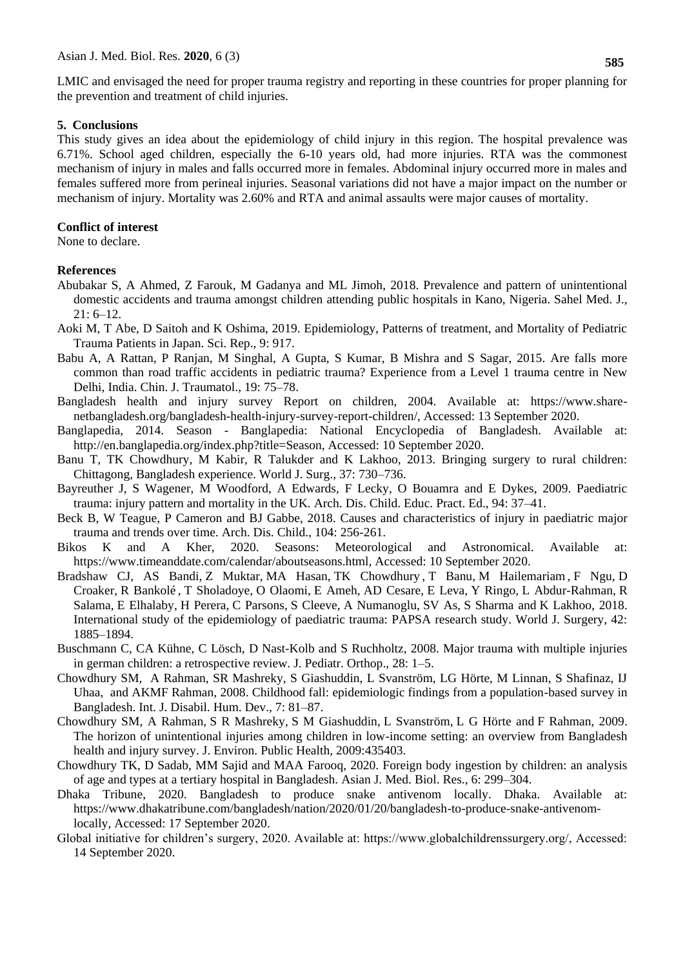LMIC and envisaged the need for proper trauma registry and reporting in these countries for proper planning for the prevention and treatment of child injuries.

#### **5. Conclusions**

This study gives an idea about the epidemiology of child injury in this region. The hospital prevalence was 6.71%. School aged children, especially the 6-10 years old, had more injuries. RTA was the commonest mechanism of injury in males and falls occurred more in females. Abdominal injury occurred more in males and females suffered more from perineal injuries. Seasonal variations did not have a major impact on the number or mechanism of injury. Mortality was 2.60% and RTA and animal assaults were major causes of mortality.

# **Conflict of interest**

None to declare.

# **References**

- Abubakar S, [A Ahmed,](http://www.smjonline.org/searchresult.asp?search=&author=Abdulazeez+Ahmed&journal=Y&but_search=Search&entries=10&pg=1&s=0) [Z Farouk,](http://www.smjonline.org/searchresult.asp?search=&author=Zubaida+Farouk&journal=Y&but_search=Search&entries=10&pg=1&s=0) [M Gadanya](http://www.smjonline.org/searchresult.asp?search=&author=Mukhtar+Gadanya&journal=Y&but_search=Search&entries=10&pg=1&s=0) and [ML Jimoh,](http://www.smjonline.org/searchresult.asp?search=&author=Mustapha+Lawal+Jimoh&journal=Y&but_search=Search&entries=10&pg=1&s=0) 2018. Prevalence and pattern of unintentional domestic accidents and trauma amongst children attending public hospitals in Kano, Nigeria. Sahel Med. J.,  $21: 6-12.$
- Aoki M, T Abe, D Saitoh and K Oshima, 2019. Epidemiology, Patterns of treatment, and Mortality of Pediatric Trauma Patients in Japan. Sci. Rep., 9: 917.
- Babu A, A Rattan, P Ranjan, M Singhal, A Gupta, S Kumar, B Mishra and S Sagar, 2015. Are falls more common than road traffic accidents in pediatric trauma? Experience from a Level 1 trauma centre in New Delhi, India. Chin. J. Traumatol., 19: 75–78.
- Bangladesh health and injury survey Report on children, 2004. Available at: https://www.sharenetbangladesh.org/bangladesh-health-injury-survey-report-children/, Accessed: 13 September 2020.
- Banglapedia, 2014. Season Banglapedia: National Encyclopedia of Bangladesh. Available at: http://en.banglapedia.org/index.php?title=Season, Accessed: 10 September 2020.
- Banu T, TK Chowdhury, M Kabir, R Talukder and K Lakhoo, 2013. Bringing surgery to rural children: Chittagong, Bangladesh experience. World J. Surg., 37: 730–736.
- Bayreuther J, S Wagener, M Woodford, A Edwards, F Lecky, O Bouamra and E Dykes, 2009. Paediatric trauma: injury pattern and mortality in the UK. Arch. Dis. Child. Educ. Pract. Ed., 94: 37–41.
- Beck B, W Teague, P Cameron and BJ Gabbe, 2018. Causes and characteristics of injury in paediatric major trauma and trends over time. Arch. Dis. Child., 104: 256-261.
- Bikos K and A Kher, 2020. Seasons: Meteorological and Astronomical. Available at: https://www.timeanddate.com/calendar/aboutseasons.html, Accessed: 10 September 2020.
- Bradshaw CJ, [AS Bandi,](https://pubmed.ncbi.nlm.nih.gov/?term=Bandi+AS&cauthor_id=29282513) [Z Muktar,](https://pubmed.ncbi.nlm.nih.gov/?term=Muktar+Z&cauthor_id=29282513) [MA Hasan,](https://pubmed.ncbi.nlm.nih.gov/?term=Hasan+MA&cauthor_id=29282513) [TK Chowdhury](https://pubmed.ncbi.nlm.nih.gov/?term=Chowdhury+TK&cauthor_id=29282513) , [T Banu,](https://pubmed.ncbi.nlm.nih.gov/?term=Banu+T&cauthor_id=29282513) [M Hailemariam](https://pubmed.ncbi.nlm.nih.gov/?term=Hailemariam+M&cauthor_id=29282513) , [F Ngu,](https://pubmed.ncbi.nlm.nih.gov/?term=Ngu+F&cauthor_id=29282513) [D](https://pubmed.ncbi.nlm.nih.gov/?term=Croaker+D&cauthor_id=29282513)  [Croaker,](https://pubmed.ncbi.nlm.nih.gov/?term=Croaker+D&cauthor_id=29282513) [R Bankolé](https://pubmed.ncbi.nlm.nih.gov/?term=Bankol%C3%A9+R&cauthor_id=29282513) , [T Sholadoye,](https://pubmed.ncbi.nlm.nih.gov/?term=Sholadoye+T&cauthor_id=29282513) [O Olaomi,](https://pubmed.ncbi.nlm.nih.gov/?term=Olaomi+O&cauthor_id=29282513) [E Ameh,](https://pubmed.ncbi.nlm.nih.gov/?term=Ameh+E&cauthor_id=29282513) [AD Cesare,](https://pubmed.ncbi.nlm.nih.gov/?term=Di+Cesare+A&cauthor_id=29282513) [E Leva,](https://pubmed.ncbi.nlm.nih.gov/?term=Leva+E&cauthor_id=29282513) [Y Ringo,](https://pubmed.ncbi.nlm.nih.gov/?term=Ringo+Y&cauthor_id=29282513) [L Abdur-Rahman,](https://pubmed.ncbi.nlm.nih.gov/?term=Abdur-Rahman+L&cauthor_id=29282513) [R](https://pubmed.ncbi.nlm.nih.gov/?term=Salama+R&cauthor_id=29282513)  [Salama,](https://pubmed.ncbi.nlm.nih.gov/?term=Salama+R&cauthor_id=29282513) [E Elhalaby,](https://pubmed.ncbi.nlm.nih.gov/?term=Elhalaby+E&cauthor_id=29282513) [H Perera,](https://pubmed.ncbi.nlm.nih.gov/?term=Perera+H&cauthor_id=29282513) [C Parsons,](https://pubmed.ncbi.nlm.nih.gov/?term=Parsons+C&cauthor_id=29282513) [S Cleeve,](https://pubmed.ncbi.nlm.nih.gov/?term=Cleeve+S&cauthor_id=29282513) [A Numanoglu,](https://pubmed.ncbi.nlm.nih.gov/?term=Numanoglu+A&cauthor_id=29282513) [SV As,](https://pubmed.ncbi.nlm.nih.gov/?term=Van+As+S&cauthor_id=29282513) [S Sharma](https://pubmed.ncbi.nlm.nih.gov/?term=Sharma+S&cauthor_id=29282513) and [K Lakhoo,](https://pubmed.ncbi.nlm.nih.gov/?term=Lakhoo+K&cauthor_id=29282513) 2018. International study of the epidemiology of paediatric trauma: PAPSA research study. World J. Surgery, 42: 1885–1894.
- Buschmann C, CA Kühne, C Lösch, D Nast-Kolb and S Ruchholtz, 2008. Major trauma with multiple injuries in german children: a retrospective review. J. Pediatr. Orthop., 28: 1–5.
- Chowdhury SM, A Rahman, SR Mashreky, S Giashuddin, L Svanström, LG Hörte, M Linnan, S Shafinaz, IJ Uhaa, and AKMF Rahman, 2008. Childhood fall: epidemiologic findings from a population-based survey in Bangladesh. Int. J. Disabil. Hum. Dev., 7: 81–87.
- Chowdhury SM, [A Rahman,](https://pubmed.ncbi.nlm.nih.gov/?term=Rahman+A&cauthor_id=20052265) [S R Mashreky,](https://pubmed.ncbi.nlm.nih.gov/?term=Mashreky+SR&cauthor_id=20052265) [S M Giashuddin,](https://pubmed.ncbi.nlm.nih.gov/?term=Giashuddin+SM&cauthor_id=20052265) [L Svanström,](https://pubmed.ncbi.nlm.nih.gov/?term=Svanstr%C3%B6m+L&cauthor_id=20052265) [L G Hörte](https://pubmed.ncbi.nlm.nih.gov/?term=H%C3%B6rte+LG&cauthor_id=20052265) and [F Rahman,](https://pubmed.ncbi.nlm.nih.gov/?term=Rahman+F&cauthor_id=20052265) 2009. The horizon of unintentional injuries among children in low-income setting: an overview from Bangladesh health and injury survey. J. Environ. Public Health, 2009:435403.
- Chowdhury TK, D Sadab, MM Sajid and MAA Farooq, 2020. Foreign body ingestion by children: an analysis of age and types at a tertiary hospital in Bangladesh. Asian J. Med. Biol. Res., 6: 299–304.
- Dhaka Tribune, 2020. Bangladesh to produce snake antivenom locally. Dhaka. Available at: https://www.dhakatribune.com/bangladesh/nation/2020/01/20/bangladesh-to-produce-snake-antivenomlocally, Accessed: 17 September 2020.
- Global initiative for children"s surgery, 2020. Available at: https://www.globalchildrenssurgery.org/, Accessed: 14 September 2020.